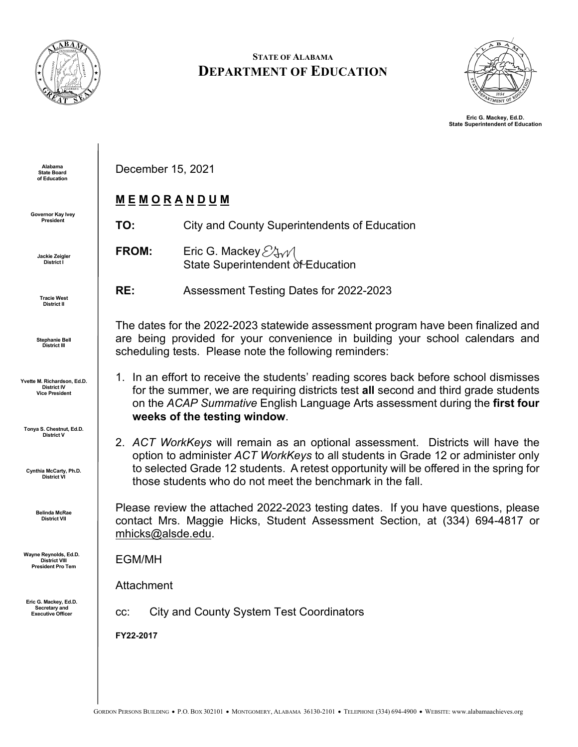

### **STATE OF ALABAMA DEPARTMENT OF EDUCATION**



**Eric G. Mackey, Ed.D. State Superintendent of Education**

**Alabama State Board of Education**

**Governor Kay Ivey President**

> **Jackie Zeigler District I**

**Tracie West District II**

**Stephanie Bell District III**

**Yvette M. Richardson, Ed.D. District IV Vice President**

**Tonya S. Chestnut, Ed.D. District V**

**Cynthia McCarty, Ph.D. District VI**

> **Belinda McRae District VII**

**Wayne Reynolds, Ed.D. District VIII President Pro Tem**

**Eric G. Mackey, Ed.D. Secretary and Executive Officer**

December 15, 2021

# **M E M O R A N D U M**

**TO:** City and County Superintendents of Education

**FROM:** Eric G. Mackey  $\mathcal{E}$   $\mathcal{E}$   $\mathcal{N}$ State Superintendent of Education

**RE:** Assessment Testing Dates for 2022-2023

The dates for the 2022-2023 statewide assessment program have been finalized and are being provided for your convenience in building your school calendars and scheduling tests. Please note the following reminders:

- 1. In an effort to receive the students' reading scores back before school dismisses for the summer, we are requiring districts test **all** second and third grade students on the *ACAP Summative* English Language Arts assessment during the **first four weeks of the testing window**.
- 2. *ACT WorkKeys* will remain as an optional assessment. Districts will have the option to administer *ACT WorkKeys* to all students in Grade 12 or administer only to selected Grade 12 students. A retest opportunity will be offered in the spring for those students who do not meet the benchmark in the fall.

Please review the attached 2022-2023 testing dates. If you have questions, please contact Mrs. Maggie Hicks, Student Assessment Section, at (334) 694-4817 or [mhicks@alsde.edu.](mailto:mhicks@alsde.edu)

EGM/MH

Attachment

cc: City and County System Test Coordinators

**FY22-2017**